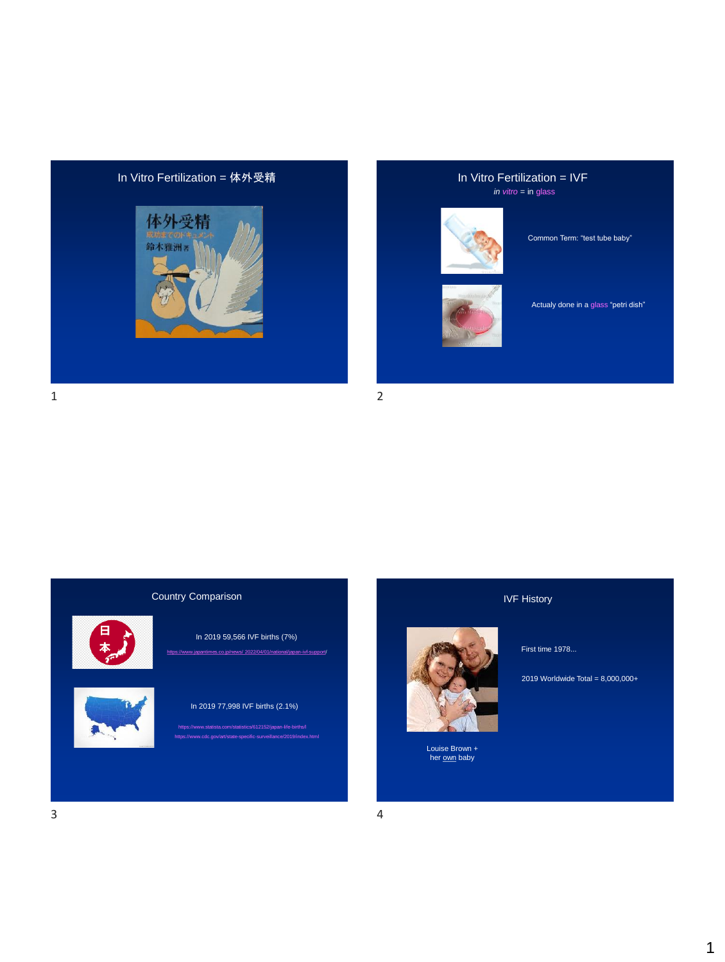

## *in vitro* = in glass



Common Term: "test tube baby"



Actualy done in a glass "petri dish"

Country Comparison



## In 2019 59,566 IVF births (7%)

In 2019 77,998 IVF births (2.1%)

https://www.statista.com/statistics/612152/japan-life-births/l<br>https://www.cdc.gov/art/state-specific-surveillance/2019/index.html

IVF History

First time 1978...

2019 Worldwide Total = 8,000,000+

Louise Brown + her own baby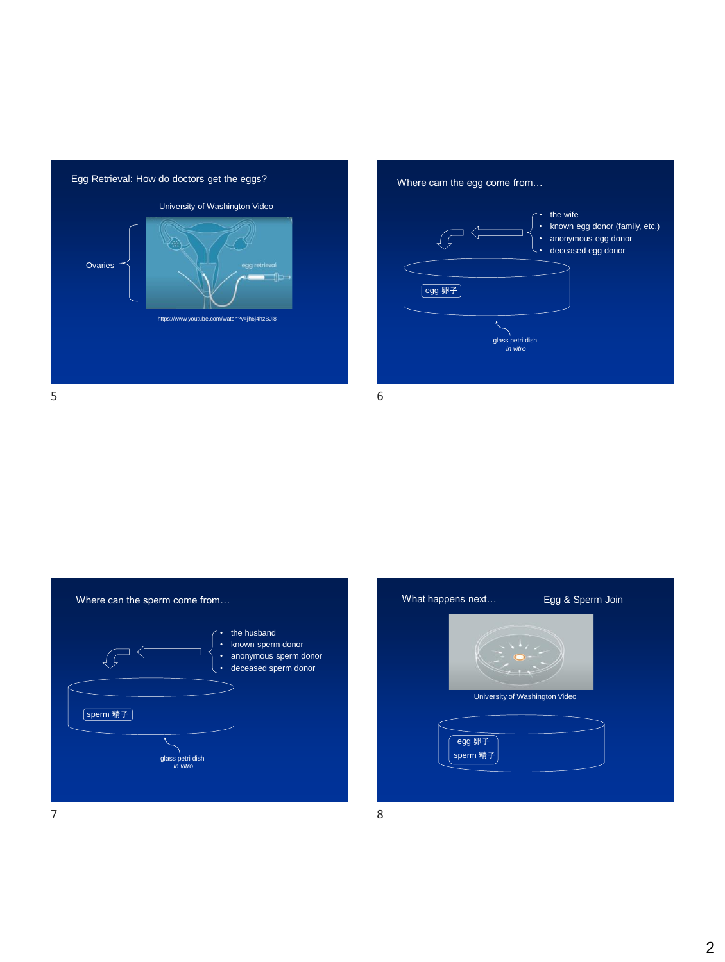



 $5\overline{6}$